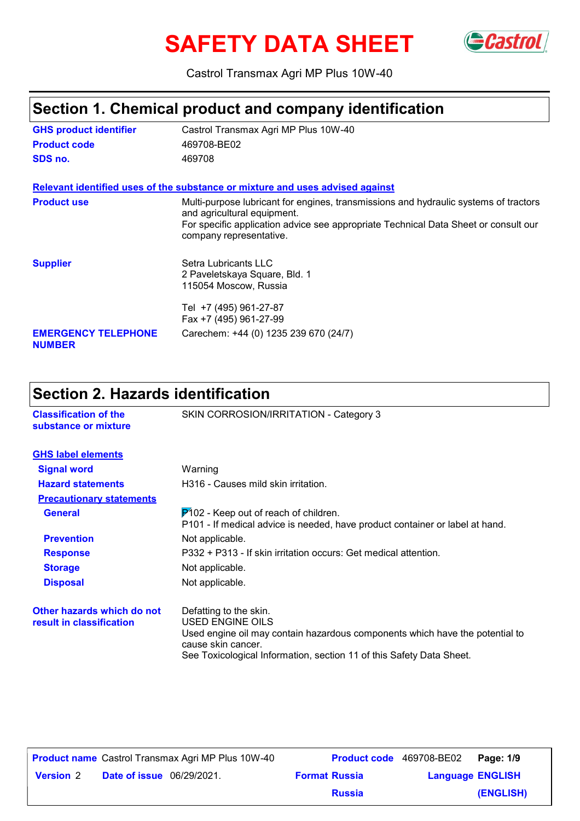# **SAFETY DATA SHEET** GCastrol



Castrol Transmax Agri MP Plus 10W-40

## **Section 1. Chemical product and company identification**

| <b>GHS product identifier</b><br>Castrol Transmax Agri MP Plus 10W-40 |                                                                                                                                                                                                                                       |  |
|-----------------------------------------------------------------------|---------------------------------------------------------------------------------------------------------------------------------------------------------------------------------------------------------------------------------------|--|
| <b>Product code</b><br>469708-BE02                                    |                                                                                                                                                                                                                                       |  |
| SDS no.                                                               | 469708                                                                                                                                                                                                                                |  |
|                                                                       | Relevant identified uses of the substance or mixture and uses advised against                                                                                                                                                         |  |
| <b>Product use</b>                                                    | Multi-purpose lubricant for engines, transmissions and hydraulic systems of tractors<br>and agricultural equipment.<br>For specific application advice see appropriate Technical Data Sheet or consult our<br>company representative. |  |
| <b>Supplier</b>                                                       | Setra Lubricants LLC<br>2 Paveletskaya Square, Bld. 1<br>115054 Moscow, Russia<br>Tel +7 (495) 961-27-87<br>Fax +7 (495) 961-27-99                                                                                                    |  |
| <b>EMERGENCY TELEPHONE</b><br><b>NUMBER</b>                           | Carechem: +44 (0) 1235 239 670 (24/7)                                                                                                                                                                                                 |  |

## **Section 2. Hazards identification**

| <b>Classification of the</b><br>substance or mixture   | SKIN CORROSION/IRRITATION - Category 3                                                                                                                                                                                   |  |  |
|--------------------------------------------------------|--------------------------------------------------------------------------------------------------------------------------------------------------------------------------------------------------------------------------|--|--|
| <b>GHS label elements</b>                              |                                                                                                                                                                                                                          |  |  |
| <b>Signal word</b>                                     | Warning                                                                                                                                                                                                                  |  |  |
| <b>Hazard statements</b>                               | H316 - Causes mild skin irritation.                                                                                                                                                                                      |  |  |
| <b>Precautionary statements</b>                        |                                                                                                                                                                                                                          |  |  |
| <b>General</b>                                         | $P$ 102 - Keep out of reach of children.<br>P101 - If medical advice is needed, have product container or label at hand.                                                                                                 |  |  |
| <b>Prevention</b>                                      | Not applicable.                                                                                                                                                                                                          |  |  |
| <b>Response</b>                                        | P332 + P313 - If skin irritation occurs: Get medical attention.                                                                                                                                                          |  |  |
| <b>Storage</b>                                         | Not applicable.                                                                                                                                                                                                          |  |  |
| <b>Disposal</b>                                        | Not applicable.                                                                                                                                                                                                          |  |  |
| Other hazards which do not<br>result in classification | Defatting to the skin.<br>USED ENGINE OILS<br>Used engine oil may contain hazardous components which have the potential to<br>cause skin cancer.<br>See Toxicological Information, section 11 of this Safety Data Sheet. |  |  |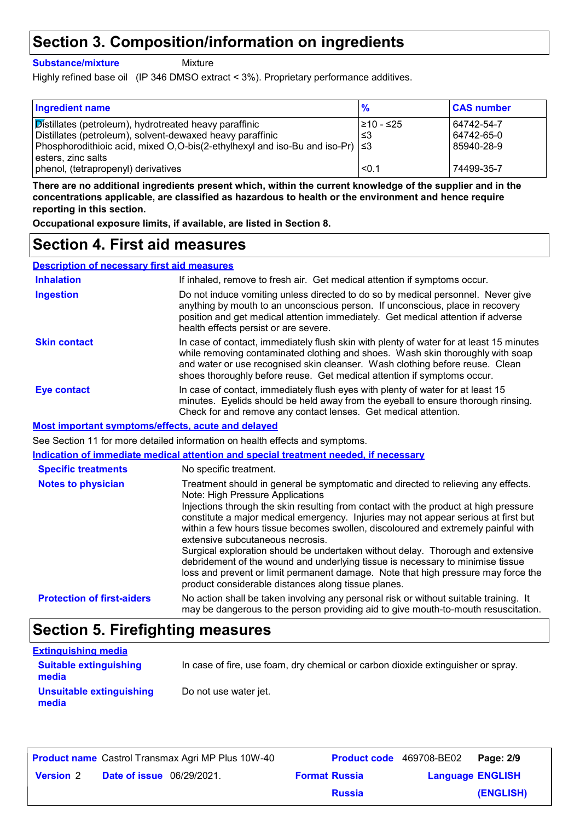## **Section 3. Composition/information on ingredients**

**Substance/mixture**

Mixture

Highly refined base oil (IP 346 DMSO extract < 3%). Proprietary performance additives.

| <b>Ingredient name</b>                                                              | $\frac{9}{6}$ | <b>CAS number</b> |
|-------------------------------------------------------------------------------------|---------------|-------------------|
| Distillates (petroleum), hydrotreated heavy paraffinic                              | l≥10 - ≤25    | 64742-54-7        |
| Distillates (petroleum), solvent-dewaxed heavy paraffinic                           | -≤3           | 64742-65-0        |
| Phosphorodithioic acid, mixed O,O-bis(2-ethylhexyl and iso-Bu and iso-Pr) $ \leq 3$ |               | 85940-28-9        |
| l esters, zinc salts                                                                |               |                   |
| phenol, (tetrapropenyl) derivatives                                                 | < 0.1         | 74499-35-7        |

**There are no additional ingredients present which, within the current knowledge of the supplier and in the concentrations applicable, are classified as hazardous to health or the environment and hence require reporting in this section.**

**Occupational exposure limits, if available, are listed in Section 8.**

## **Section 4. First aid measures**

**Description of necessary first aid measures**

| <b>Inhalation</b>                                  | If inhaled, remove to fresh air. Get medical attention if symptoms occur.                                                                                                                                                                                                                                                                                                                                                                                                                                                                                                                                                                                                                                                                     |
|----------------------------------------------------|-----------------------------------------------------------------------------------------------------------------------------------------------------------------------------------------------------------------------------------------------------------------------------------------------------------------------------------------------------------------------------------------------------------------------------------------------------------------------------------------------------------------------------------------------------------------------------------------------------------------------------------------------------------------------------------------------------------------------------------------------|
| <b>Ingestion</b>                                   | Do not induce vomiting unless directed to do so by medical personnel. Never give<br>anything by mouth to an unconscious person. If unconscious, place in recovery<br>position and get medical attention immediately. Get medical attention if adverse<br>health effects persist or are severe.                                                                                                                                                                                                                                                                                                                                                                                                                                                |
| <b>Skin contact</b>                                | In case of contact, immediately flush skin with plenty of water for at least 15 minutes<br>while removing contaminated clothing and shoes. Wash skin thoroughly with soap<br>and water or use recognised skin cleanser. Wash clothing before reuse. Clean<br>shoes thoroughly before reuse. Get medical attention if symptoms occur.                                                                                                                                                                                                                                                                                                                                                                                                          |
| <b>Eye contact</b>                                 | In case of contact, immediately flush eyes with plenty of water for at least 15<br>minutes. Eyelids should be held away from the eyeball to ensure thorough rinsing.<br>Check for and remove any contact lenses. Get medical attention.                                                                                                                                                                                                                                                                                                                                                                                                                                                                                                       |
| Most important symptoms/effects, acute and delayed |                                                                                                                                                                                                                                                                                                                                                                                                                                                                                                                                                                                                                                                                                                                                               |
|                                                    | See Section 11 for more detailed information on health effects and symptoms.                                                                                                                                                                                                                                                                                                                                                                                                                                                                                                                                                                                                                                                                  |
|                                                    |                                                                                                                                                                                                                                                                                                                                                                                                                                                                                                                                                                                                                                                                                                                                               |
|                                                    | Indication of immediate medical attention and special treatment needed, if necessary                                                                                                                                                                                                                                                                                                                                                                                                                                                                                                                                                                                                                                                          |
| <b>Specific treatments</b>                         | No specific treatment.                                                                                                                                                                                                                                                                                                                                                                                                                                                                                                                                                                                                                                                                                                                        |
| <b>Notes to physician</b>                          | Treatment should in general be symptomatic and directed to relieving any effects.<br>Note: High Pressure Applications<br>Injections through the skin resulting from contact with the product at high pressure<br>constitute a major medical emergency. Injuries may not appear serious at first but<br>within a few hours tissue becomes swollen, discoloured and extremely painful with<br>extensive subcutaneous necrosis.<br>Surgical exploration should be undertaken without delay. Thorough and extensive<br>debridement of the wound and underlying tissue is necessary to minimise tissue<br>loss and prevent or limit permanent damage. Note that high pressure may force the<br>product considerable distances along tissue planes. |

## **Section 5. Firefighting measures**

| <b>Extinguishing media</b>             |                                                                                  |
|----------------------------------------|----------------------------------------------------------------------------------|
| <b>Suitable extinguishing</b><br>media | In case of fire, use foam, dry chemical or carbon dioxide extinguisher or spray. |
| Unsuitable extinguishing<br>media      | Do not use water jet.                                                            |

|                  |                                  | <b>Product name</b> Castrol Transmax Agri MP Plus 10W-40 | <b>Product code</b> 469708-BE02 |                         | Page: 2/9 |
|------------------|----------------------------------|----------------------------------------------------------|---------------------------------|-------------------------|-----------|
| <b>Version 2</b> | <b>Date of issue</b> 06/29/2021. |                                                          | <b>Format Russia</b>            | <b>Language ENGLISH</b> |           |
|                  |                                  |                                                          | <b>Russia</b>                   |                         | (ENGLISH) |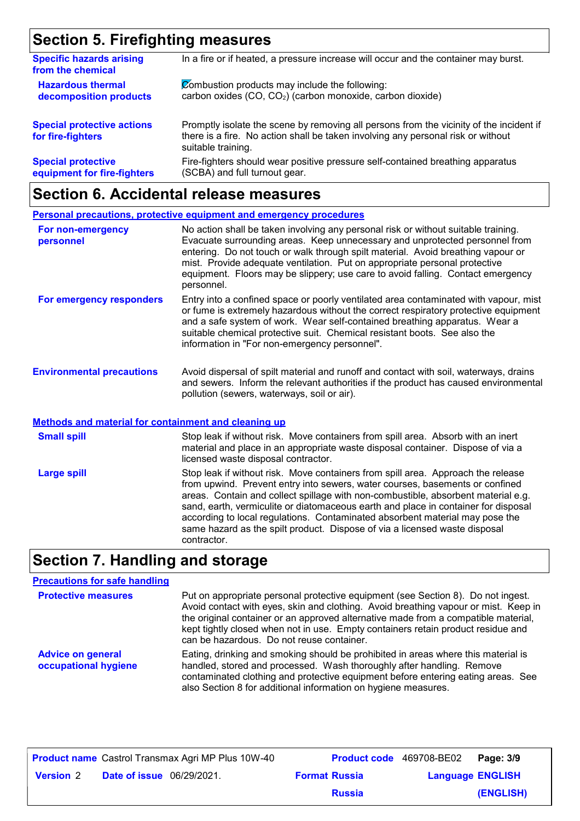## **Section 5. Firefighting measures**

| <b>Specific hazards arising</b><br>from the chemical   | In a fire or if heated, a pressure increase will occur and the container may burst.                                                                                                               |
|--------------------------------------------------------|---------------------------------------------------------------------------------------------------------------------------------------------------------------------------------------------------|
| <b>Hazardous thermal</b>                               | Combustion products may include the following:                                                                                                                                                    |
| decomposition products                                 | carbon oxides (CO, CO <sub>2</sub> ) (carbon monoxide, carbon dioxide)                                                                                                                            |
| <b>Special protective actions</b><br>for fire-fighters | Promptly isolate the scene by removing all persons from the vicinity of the incident if<br>there is a fire. No action shall be taken involving any personal risk or without<br>suitable training. |
| <b>Special protective</b>                              | Fire-fighters should wear positive pressure self-contained breathing apparatus                                                                                                                    |
| equipment for fire-fighters                            | (SCBA) and full turnout gear.                                                                                                                                                                     |

## **Section 6. Accidental release measures**

### **Environmental precautions Personal precautions, protective equipment and emergency procedures** No action shall be taken involving any personal risk or without suitable training. Evacuate surrounding areas. Keep unnecessary and unprotected personnel from entering. Do not touch or walk through spilt material. Avoid breathing vapour or mist. Provide adequate ventilation. Put on appropriate personal protective equipment. Floors may be slippery; use care to avoid falling. Contact emergency personnel. Avoid dispersal of spilt material and runoff and contact with soil, waterways, drains and sewers. Inform the relevant authorities if the product has caused environmental pollution (sewers, waterways, soil or air). **For non-emergency personnel For emergency responders** Entry into a confined space or poorly ventilated area contaminated with vapour, mist or fume is extremely hazardous without the correct respiratory protective equipment and a safe system of work. Wear self-contained breathing apparatus. Wear a suitable chemical protective suit. Chemical resistant boots. See also the information in "For non-emergency personnel".

### **Methods and material for containment and cleaning up**

| <b>Small spill</b> | Stop leak if without risk. Move containers from spill area. Absorb with an inert<br>material and place in an appropriate waste disposal container. Dispose of via a<br>licensed waste disposal contractor.                                                                                                                                                                                                                                                                                                               |
|--------------------|--------------------------------------------------------------------------------------------------------------------------------------------------------------------------------------------------------------------------------------------------------------------------------------------------------------------------------------------------------------------------------------------------------------------------------------------------------------------------------------------------------------------------|
| <b>Large spill</b> | Stop leak if without risk. Move containers from spill area. Approach the release<br>from upwind. Prevent entry into sewers, water courses, basements or confined<br>areas. Contain and collect spillage with non-combustible, absorbent material e.g.<br>sand, earth, vermiculite or diatomaceous earth and place in container for disposal<br>according to local regulations. Contaminated absorbent material may pose the<br>same hazard as the spilt product. Dispose of via a licensed waste disposal<br>contractor. |

### **Section 7. Handling and storage**

### **Precautions for safe handling**

| <b>Protective measures</b>                       | Put on appropriate personal protective equipment (see Section 8). Do not ingest.<br>Avoid contact with eyes, skin and clothing. Avoid breathing vapour or mist. Keep in<br>the original container or an approved alternative made from a compatible material,<br>kept tightly closed when not in use. Empty containers retain product residue and<br>can be hazardous. Do not reuse container. |
|--------------------------------------------------|------------------------------------------------------------------------------------------------------------------------------------------------------------------------------------------------------------------------------------------------------------------------------------------------------------------------------------------------------------------------------------------------|
| <b>Advice on general</b><br>occupational hygiene | Eating, drinking and smoking should be prohibited in areas where this material is<br>handled, stored and processed. Wash thoroughly after handling. Remove<br>contaminated clothing and protective equipment before entering eating areas. See<br>also Section 8 for additional information on hygiene measures.                                                                               |

|                  |                                  | <b>Product name</b> Castrol Transmax Agri MP Plus 10W-40 | Product code 469708-BE02 |                         | Page: 3/9 |
|------------------|----------------------------------|----------------------------------------------------------|--------------------------|-------------------------|-----------|
| <b>Version 2</b> | <b>Date of issue</b> 06/29/2021. |                                                          | <b>Format Russia</b>     | <b>Language ENGLISH</b> |           |
|                  |                                  |                                                          | <b>Russia</b>            |                         | (ENGLISH) |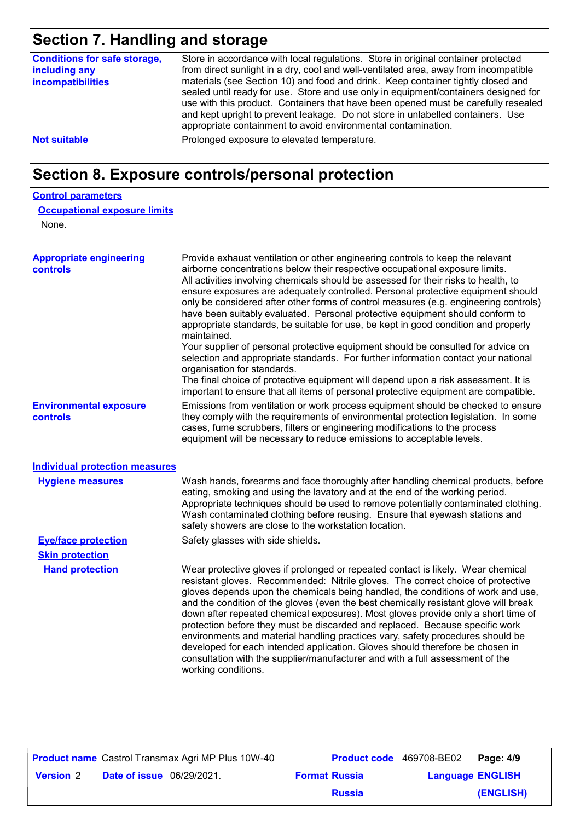## **Section 7. Handling and storage**

| Store in accordance with local regulations. Store in original container protected<br>from direct sunlight in a dry, cool and well-ventilated area, away from incompatible<br>materials (see Section 10) and food and drink. Keep container tightly closed and<br>sealed until ready for use. Store and use only in equipment/containers designed for<br>use with this product. Containers that have been opened must be carefully resealed<br>and kept upright to prevent leakage. Do not store in unlabelled containers. Use<br>appropriate containment to avoid environmental contamination.                                                                                                                                                                                                    |
|---------------------------------------------------------------------------------------------------------------------------------------------------------------------------------------------------------------------------------------------------------------------------------------------------------------------------------------------------------------------------------------------------------------------------------------------------------------------------------------------------------------------------------------------------------------------------------------------------------------------------------------------------------------------------------------------------------------------------------------------------------------------------------------------------|
| Prolonged exposure to elevated temperature.                                                                                                                                                                                                                                                                                                                                                                                                                                                                                                                                                                                                                                                                                                                                                       |
| Section 8. Exposure controls/personal protection                                                                                                                                                                                                                                                                                                                                                                                                                                                                                                                                                                                                                                                                                                                                                  |
|                                                                                                                                                                                                                                                                                                                                                                                                                                                                                                                                                                                                                                                                                                                                                                                                   |
| <b>Occupational exposure limits</b>                                                                                                                                                                                                                                                                                                                                                                                                                                                                                                                                                                                                                                                                                                                                                               |
|                                                                                                                                                                                                                                                                                                                                                                                                                                                                                                                                                                                                                                                                                                                                                                                                   |
| Provide exhaust ventilation or other engineering controls to keep the relevant<br>airborne concentrations below their respective occupational exposure limits.<br>All activities involving chemicals should be assessed for their risks to health, to<br>ensure exposures are adequately controlled. Personal protective equipment should<br>only be considered after other forms of control measures (e.g. engineering controls)<br>have been suitably evaluated. Personal protective equipment should conform to<br>appropriate standards, be suitable for use, be kept in good condition and properly<br>maintained.<br>Your supplier of personal protective equipment should be consulted for advice on<br>selection and appropriate standards. For further information contact your national |
|                                                                                                                                                                                                                                                                                                                                                                                                                                                                                                                                                                                                                                                                                                                                                                                                   |

organisation for standards.

**Environmental exposure controls**

Emissions from ventilation or work process equipment should be checked to ensure they comply with the requirements of environmental protection legislation. In some cases, fume scrubbers, filters or engineering modifications to the process equipment will be necessary to reduce emissions to acceptable levels. The final choice of protective equipment will depend upon a risk assessment. It is important to ensure that all items of personal protective equipment are compatible.

#### **Individual protection measures**

| <b>Hygiene measures</b>    | Wash hands, forearms and face thoroughly after handling chemical products, before<br>eating, smoking and using the lavatory and at the end of the working period.<br>Appropriate techniques should be used to remove potentially contaminated clothing.<br>Wash contaminated clothing before reusing. Ensure that eyewash stations and<br>safety showers are close to the workstation location.                                                                                                                                                                                                                                                                                                                                                                                                 |
|----------------------------|-------------------------------------------------------------------------------------------------------------------------------------------------------------------------------------------------------------------------------------------------------------------------------------------------------------------------------------------------------------------------------------------------------------------------------------------------------------------------------------------------------------------------------------------------------------------------------------------------------------------------------------------------------------------------------------------------------------------------------------------------------------------------------------------------|
| <b>Eye/face protection</b> | Safety glasses with side shields.                                                                                                                                                                                                                                                                                                                                                                                                                                                                                                                                                                                                                                                                                                                                                               |
| <b>Skin protection</b>     |                                                                                                                                                                                                                                                                                                                                                                                                                                                                                                                                                                                                                                                                                                                                                                                                 |
| <b>Hand protection</b>     | Wear protective gloves if prolonged or repeated contact is likely. Wear chemical<br>resistant gloves. Recommended: Nitrile gloves. The correct choice of protective<br>gloves depends upon the chemicals being handled, the conditions of work and use,<br>and the condition of the gloves (even the best chemically resistant glove will break<br>down after repeated chemical exposures). Most gloves provide only a short time of<br>protection before they must be discarded and replaced. Because specific work<br>environments and material handling practices vary, safety procedures should be<br>developed for each intended application. Gloves should therefore be chosen in<br>consultation with the supplier/manufacturer and with a full assessment of the<br>working conditions. |

|                  |                                  | <b>Product name</b> Castrol Transmax Agri MP Plus 10W-40 |                      | <b>Product code</b> 469708-BE02 Page: 4/9 |           |
|------------------|----------------------------------|----------------------------------------------------------|----------------------|-------------------------------------------|-----------|
| <b>Version 2</b> | <b>Date of issue</b> 06/29/2021. |                                                          | <b>Format Russia</b> | <b>Language ENGLISH</b>                   |           |
|                  |                                  |                                                          | <b>Russia</b>        |                                           | (ENGLISH) |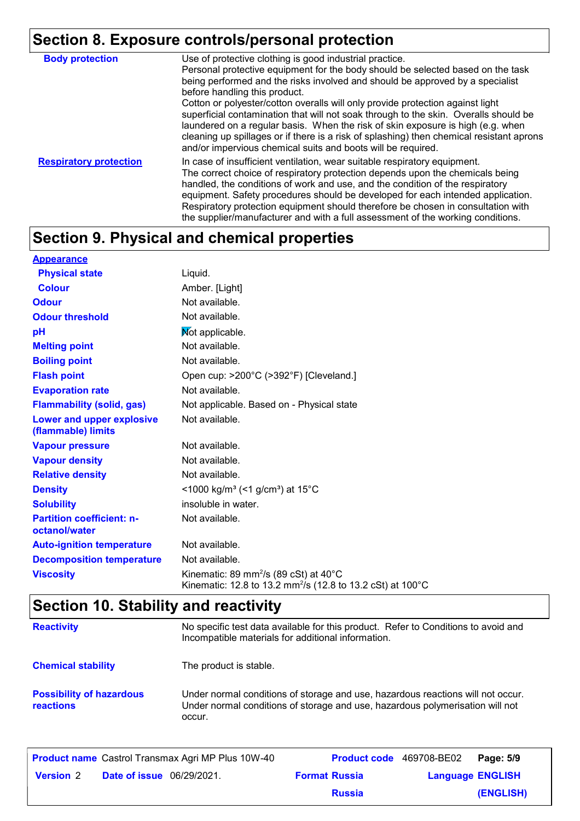## **Section 8. Exposure controls/personal protection**

| <b>Body protection</b>        | Use of protective clothing is good industrial practice.<br>Personal protective equipment for the body should be selected based on the task<br>being performed and the risks involved and should be approved by a specialist<br>before handling this product.<br>Cotton or polyester/cotton overalls will only provide protection against light<br>superficial contamination that will not soak through to the skin. Overalls should be<br>laundered on a regular basis. When the risk of skin exposure is high (e.g. when<br>cleaning up spillages or if there is a risk of splashing) then chemical resistant aprons<br>and/or impervious chemical suits and boots will be required. |
|-------------------------------|---------------------------------------------------------------------------------------------------------------------------------------------------------------------------------------------------------------------------------------------------------------------------------------------------------------------------------------------------------------------------------------------------------------------------------------------------------------------------------------------------------------------------------------------------------------------------------------------------------------------------------------------------------------------------------------|
| <b>Respiratory protection</b> | In case of insufficient ventilation, wear suitable respiratory equipment.<br>The correct choice of respiratory protection depends upon the chemicals being<br>handled, the conditions of work and use, and the condition of the respiratory<br>equipment. Safety procedures should be developed for each intended application.<br>Respiratory protection equipment should therefore be chosen in consultation with<br>the supplier/manufacturer and with a full assessment of the working conditions.                                                                                                                                                                                 |

## **Section 9. Physical and chemical properties**

| <b>Appearance</b>                                 |                                                                                                                                                  |
|---------------------------------------------------|--------------------------------------------------------------------------------------------------------------------------------------------------|
| <b>Physical state</b>                             | Liquid.                                                                                                                                          |
| <b>Colour</b>                                     | Amber. [Light]                                                                                                                                   |
| <b>Odour</b>                                      | Not available.                                                                                                                                   |
| <b>Odour threshold</b>                            | Not available.                                                                                                                                   |
| рH                                                | Not applicable.                                                                                                                                  |
| <b>Melting point</b>                              | Not available.                                                                                                                                   |
| <b>Boiling point</b>                              | Not available.                                                                                                                                   |
| <b>Flash point</b>                                | Open cup: >200°C (>392°F) [Cleveland.]                                                                                                           |
| <b>Evaporation rate</b>                           | Not available.                                                                                                                                   |
| <b>Flammability (solid, gas)</b>                  | Not applicable. Based on - Physical state                                                                                                        |
| Lower and upper explosive<br>(flammable) limits   | Not available.                                                                                                                                   |
| <b>Vapour pressure</b>                            | Not available.                                                                                                                                   |
| <b>Vapour density</b>                             | Not available.                                                                                                                                   |
| <b>Relative density</b>                           | Not available.                                                                                                                                   |
| <b>Density</b>                                    | <1000 kg/m <sup>3</sup> (<1 g/cm <sup>3</sup> ) at 15°C                                                                                          |
| <b>Solubility</b>                                 | insoluble in water.                                                                                                                              |
| <b>Partition coefficient: n-</b><br>octanol/water | Not available.                                                                                                                                   |
| <b>Auto-ignition temperature</b>                  | Not available.                                                                                                                                   |
| <b>Decomposition temperature</b>                  | Not available.                                                                                                                                   |
| <b>Viscosity</b>                                  | Kinematic: 89 mm <sup>2</sup> /s (89 cSt) at $40^{\circ}$ C<br>Kinematic: 12.8 to 13.2 mm <sup>2</sup> /s (12.8 to 13.2 cSt) at 100 $^{\circ}$ C |

## **Section 10. Stability and reactivity**

| <b>Reactivity</b>                                   | No specific test data available for this product. Refer to Conditions to avoid and<br>Incompatible materials for additional information.                                   |
|-----------------------------------------------------|----------------------------------------------------------------------------------------------------------------------------------------------------------------------------|
| <b>Chemical stability</b>                           | The product is stable.                                                                                                                                                     |
| <b>Possibility of hazardous</b><br><b>reactions</b> | Under normal conditions of storage and use, hazardous reactions will not occur.<br>Under normal conditions of storage and use, hazardous polymerisation will not<br>occur. |

| <b>Product name</b> Castrol Transmax Agri MP Plus 10W-40 |                                  |  | Product code 469708-BE02 | Page: 5/9               |           |
|----------------------------------------------------------|----------------------------------|--|--------------------------|-------------------------|-----------|
| <b>Version</b> 2                                         | <b>Date of issue</b> 06/29/2021. |  | <b>Format Russia</b>     | <b>Language ENGLISH</b> |           |
|                                                          |                                  |  | <b>Russia</b>            |                         | (ENGLISH) |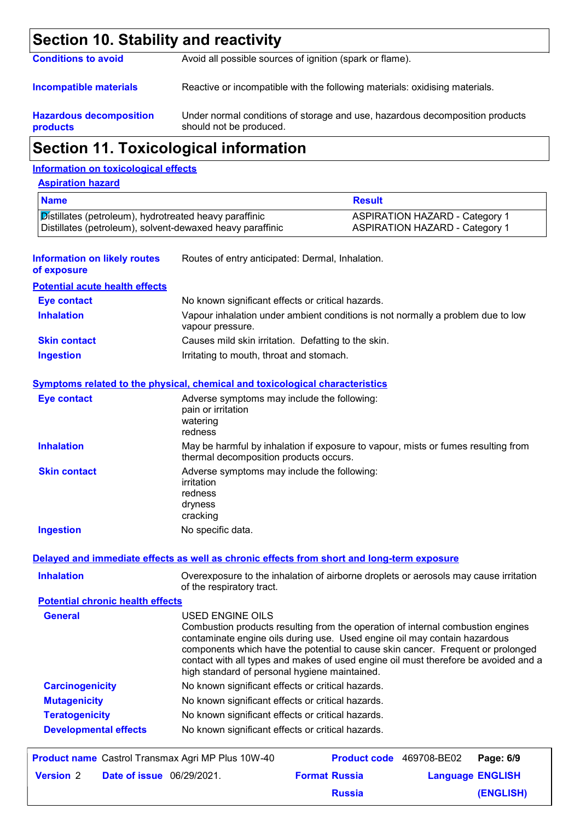| <b>Section 10. Stability and reactivity</b>                                                                         |                                                                                                                             |                                                                                 |  |
|---------------------------------------------------------------------------------------------------------------------|-----------------------------------------------------------------------------------------------------------------------------|---------------------------------------------------------------------------------|--|
| <b>Conditions to avoid</b>                                                                                          | Avoid all possible sources of ignition (spark or flame).                                                                    |                                                                                 |  |
| <b>Incompatible materials</b>                                                                                       | Reactive or incompatible with the following materials: oxidising materials.                                                 |                                                                                 |  |
| <b>Hazardous decomposition</b><br>products                                                                          | should not be produced.                                                                                                     | Under normal conditions of storage and use, hazardous decomposition products    |  |
|                                                                                                                     | <b>Section 11. Toxicological information</b>                                                                                |                                                                                 |  |
| <b>Information on toxicological effects</b>                                                                         |                                                                                                                             |                                                                                 |  |
| <b>Aspiration hazard</b>                                                                                            |                                                                                                                             |                                                                                 |  |
| <b>Name</b>                                                                                                         |                                                                                                                             | <b>Result</b>                                                                   |  |
| Distillates (petroleum), hydrotreated heavy paraffinic<br>Distillates (petroleum), solvent-dewaxed heavy paraffinic |                                                                                                                             | <b>ASPIRATION HAZARD - Category 1</b><br><b>ASPIRATION HAZARD - Category 1</b>  |  |
| <b>Information on likely routes</b><br>of exposure                                                                  | Routes of entry anticipated: Dermal, Inhalation.                                                                            |                                                                                 |  |
| <b>Potential acute health effects</b>                                                                               |                                                                                                                             |                                                                                 |  |
| <b>Eye contact</b>                                                                                                  | No known significant effects or critical hazards.                                                                           |                                                                                 |  |
| <b>Inhalation</b>                                                                                                   | Vapour inhalation under ambient conditions is not normally a problem due to low<br>vapour pressure.                         |                                                                                 |  |
| <b>Skin contact</b>                                                                                                 | Causes mild skin irritation. Defatting to the skin.                                                                         |                                                                                 |  |
| <b>Ingestion</b>                                                                                                    | Irritating to mouth, throat and stomach.                                                                                    |                                                                                 |  |
|                                                                                                                     | <b>Symptoms related to the physical, chemical and toxicological characteristics</b>                                         |                                                                                 |  |
| <b>Eye contact</b>                                                                                                  | Adverse symptoms may include the following:<br>pain or irritation<br>watering<br>redness                                    |                                                                                 |  |
| <b>Inhalation</b>                                                                                                   | May be harmful by inhalation if exposure to vapour, mists or fumes resulting from<br>thermal decomposition products occurs. |                                                                                 |  |
| <b>Skin contact</b>                                                                                                 | Adverse symptoms may include the following:<br>irritation<br>redness<br>dryness<br>cracking                                 |                                                                                 |  |
| <b>Ingestion</b>                                                                                                    | No specific data.                                                                                                           |                                                                                 |  |
|                                                                                                                     | Delayed and immediate effects as well as chronic effects from short and long-term exposure                                  |                                                                                 |  |
| <b>Inhalation</b>                                                                                                   | Overexposure to the inhalation of airborne droplets or aerosols may cause irritation<br>of the respiratory tract.           |                                                                                 |  |
| <b>Potential chronic health effects</b>                                                                             |                                                                                                                             |                                                                                 |  |
| <b>General</b>                                                                                                      | <b>USED ENGINE OILS</b>                                                                                                     | Combustion products resulting from the operation of internal combustion engines |  |

|                              | contaminate engine oils during use. Used engine oil may contain hazardous<br>components which have the potential to cause skin cancer. Frequent or prolonged<br>contact with all types and makes of used engine oil must therefore be avoided and a<br>high standard of personal hygiene maintained. |
|------------------------------|------------------------------------------------------------------------------------------------------------------------------------------------------------------------------------------------------------------------------------------------------------------------------------------------------|
| <b>Carcinogenicity</b>       | No known significant effects or critical hazards.                                                                                                                                                                                                                                                    |
| <b>Mutagenicity</b>          | No known significant effects or critical hazards.                                                                                                                                                                                                                                                    |
| <b>Teratogenicity</b>        | No known significant effects or critical hazards.                                                                                                                                                                                                                                                    |
| <b>Developmental effects</b> | No known significant effects or critical hazards.                                                                                                                                                                                                                                                    |

|                  |                                  | <b>Product name</b> Castrol Transmax Agri MP Plus 10W-40 |                      | Product code 469708-BE02 Page: 6/9 |           |
|------------------|----------------------------------|----------------------------------------------------------|----------------------|------------------------------------|-----------|
| <b>Version 2</b> | <b>Date of issue</b> 06/29/2021. |                                                          | <b>Format Russia</b> | <b>Language ENGLISH</b>            |           |
|                  |                                  |                                                          | <b>Russia</b>        |                                    | (ENGLISH) |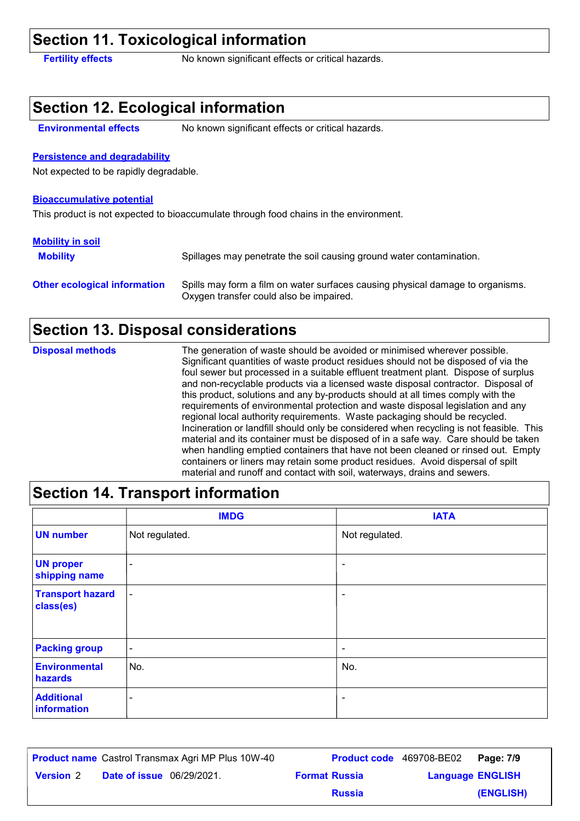## **Section 11. Toxicological information**

**Fertility effects** No known significant effects or critical hazards.

## **Section 12. Ecological information**

**Environmental effects** No known significant effects or critical hazards.

### **Persistence and degradability**

Not expected to be rapidly degradable.

#### **Bioaccumulative potential**

This product is not expected to bioaccumulate through food chains in the environment.

#### **Mobility in soil**

**Mobility** Spillages may penetrate the soil causing ground water contamination.

**Other ecological information** Spills may form a film on water surfaces causing physical damage to organisms. Oxygen transfer could also be impaired.

### **Section 13. Disposal considerations**

The generation of waste should be avoided or minimised wherever possible. Significant quantities of waste product residues should not be disposed of via the foul sewer but processed in a suitable effluent treatment plant. Dispose of surplus and non-recyclable products via a licensed waste disposal contractor. Disposal of this product, solutions and any by-products should at all times comply with the requirements of environmental protection and waste disposal legislation and any regional local authority requirements. Waste packaging should be recycled. Incineration or landfill should only be considered when recycling is not feasible. This material and its container must be disposed of in a safe way. Care should be taken when handling emptied containers that have not been cleaned or rinsed out. Empty containers or liners may retain some product residues. Avoid dispersal of spilt material and runoff and contact with soil, waterways, drains and sewers. **Disposal methods**

## **Section 14. Transport information**

|                                      | <b>IMDG</b>              | <b>IATA</b>              |
|--------------------------------------|--------------------------|--------------------------|
| <b>UN number</b>                     | Not regulated.           | Not regulated.           |
| <b>UN proper</b><br>shipping name    | $\overline{\phantom{a}}$ | $\overline{\phantom{a}}$ |
| <b>Transport hazard</b><br>class(es) | $\qquad \qquad$          | $\overline{\phantom{a}}$ |
| <b>Packing group</b>                 | $\overline{\phantom{a}}$ | $\overline{\phantom{a}}$ |
| <b>Environmental</b><br>hazards      | No.                      | No.                      |
| <b>Additional</b><br>information     | $\overline{\phantom{0}}$ | $\overline{\phantom{a}}$ |

|                  |                                  | <b>Product name</b> Castrol Transmax Agri MP Plus 10W-40 |                      | <b>Product code</b> 469708-BE02   Page: 7/9 |           |
|------------------|----------------------------------|----------------------------------------------------------|----------------------|---------------------------------------------|-----------|
| <b>Version</b> 2 | <b>Date of issue</b> 06/29/2021. |                                                          | <b>Format Russia</b> | <b>Language ENGLISH</b>                     |           |
|                  |                                  |                                                          | <b>Russia</b>        |                                             | (ENGLISH) |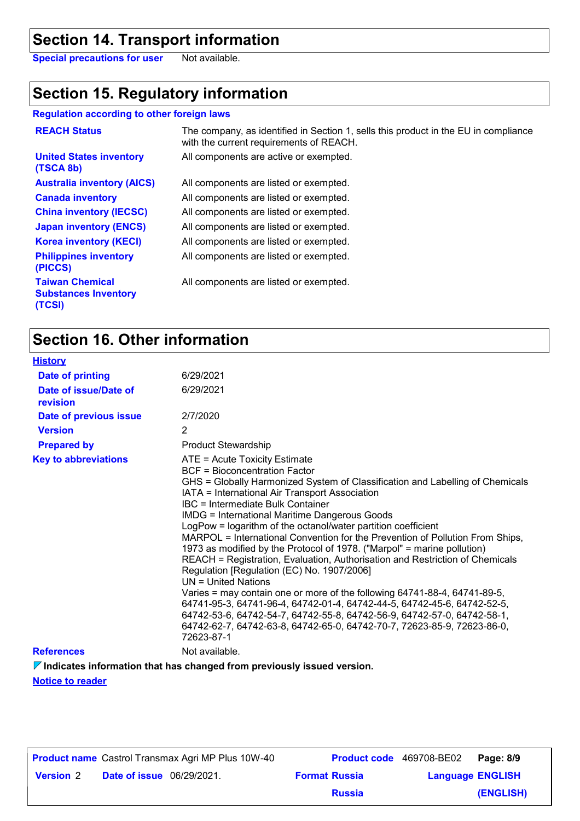## **Section 14. Transport information**

**Special precautions for user** Not available.

## **Section 15. Regulatory information**

### **Regulation according to other foreign laws**

| <b>REACH Status</b>                                             | The company, as identified in Section 1, sells this product in the EU in compliance<br>with the current requirements of REACH. |
|-----------------------------------------------------------------|--------------------------------------------------------------------------------------------------------------------------------|
| <b>United States inventory</b><br>(TSCA 8b)                     | All components are active or exempted.                                                                                         |
| <b>Australia inventory (AICS)</b>                               | All components are listed or exempted.                                                                                         |
| <b>Canada inventory</b>                                         | All components are listed or exempted.                                                                                         |
| <b>China inventory (IECSC)</b>                                  | All components are listed or exempted.                                                                                         |
| <b>Japan inventory (ENCS)</b>                                   | All components are listed or exempted.                                                                                         |
| <b>Korea inventory (KECI)</b>                                   | All components are listed or exempted.                                                                                         |
| <b>Philippines inventory</b><br>(PICCS)                         | All components are listed or exempted.                                                                                         |
| <b>Taiwan Chemical</b><br><b>Substances Inventory</b><br>(TCSI) | All components are listed or exempted.                                                                                         |

## **Section 16. Other information**

| <b>History</b>                    |                                                                                                                                                                                                                                                                                                                                                                                                                                                                                                                                                                                                                                                                                                                                                                                                                                                                                                                                                                                                                |
|-----------------------------------|----------------------------------------------------------------------------------------------------------------------------------------------------------------------------------------------------------------------------------------------------------------------------------------------------------------------------------------------------------------------------------------------------------------------------------------------------------------------------------------------------------------------------------------------------------------------------------------------------------------------------------------------------------------------------------------------------------------------------------------------------------------------------------------------------------------------------------------------------------------------------------------------------------------------------------------------------------------------------------------------------------------|
| <b>Date of printing</b>           | 6/29/2021                                                                                                                                                                                                                                                                                                                                                                                                                                                                                                                                                                                                                                                                                                                                                                                                                                                                                                                                                                                                      |
| Date of issue/Date of<br>revision | 6/29/2021                                                                                                                                                                                                                                                                                                                                                                                                                                                                                                                                                                                                                                                                                                                                                                                                                                                                                                                                                                                                      |
| Date of previous issue            | 2/7/2020                                                                                                                                                                                                                                                                                                                                                                                                                                                                                                                                                                                                                                                                                                                                                                                                                                                                                                                                                                                                       |
| <b>Version</b>                    | 2                                                                                                                                                                                                                                                                                                                                                                                                                                                                                                                                                                                                                                                                                                                                                                                                                                                                                                                                                                                                              |
| <b>Prepared by</b>                | <b>Product Stewardship</b>                                                                                                                                                                                                                                                                                                                                                                                                                                                                                                                                                                                                                                                                                                                                                                                                                                                                                                                                                                                     |
| <b>Key to abbreviations</b>       | ATE = Acute Toxicity Estimate<br>BCF = Bioconcentration Factor<br>GHS = Globally Harmonized System of Classification and Labelling of Chemicals<br>IATA = International Air Transport Association<br>IBC = Intermediate Bulk Container<br><b>IMDG = International Maritime Dangerous Goods</b><br>LogPow = logarithm of the octanol/water partition coefficient<br>MARPOL = International Convention for the Prevention of Pollution From Ships,<br>1973 as modified by the Protocol of 1978. ("Marpol" = marine pollution)<br>REACH = Registration, Evaluation, Authorisation and Restriction of Chemicals<br>Regulation [Regulation (EC) No. 1907/2006]<br>$UN = United Nations$<br>Varies = may contain one or more of the following 64741-88-4, 64741-89-5,<br>64741-95-3, 64741-96-4, 64742-01-4, 64742-44-5, 64742-45-6, 64742-52-5,<br>64742-53-6, 64742-54-7, 64742-55-8, 64742-56-9, 64742-57-0, 64742-58-1,<br>64742-62-7, 64742-63-8, 64742-65-0, 64742-70-7, 72623-85-9, 72623-86-0,<br>72623-87-1 |
| <b>References</b>                 | Not available.                                                                                                                                                                                                                                                                                                                                                                                                                                                                                                                                                                                                                                                                                                                                                                                                                                                                                                                                                                                                 |
|                                   |                                                                                                                                                                                                                                                                                                                                                                                                                                                                                                                                                                                                                                                                                                                                                                                                                                                                                                                                                                                                                |

**Indicates information that has changed from previously issued version.**

**Notice to reader**

| <b>Product name</b> Castrol Transmax Agri MP Plus 10W-40 |                                  |  | Product code 469708-BE02 |                         | Page: 8/9 |
|----------------------------------------------------------|----------------------------------|--|--------------------------|-------------------------|-----------|
| <b>Version 2</b>                                         | <b>Date of issue</b> 06/29/2021. |  | <b>Format Russia</b>     | <b>Language ENGLISH</b> |           |
|                                                          |                                  |  | <b>Russia</b>            |                         | (ENGLISH) |